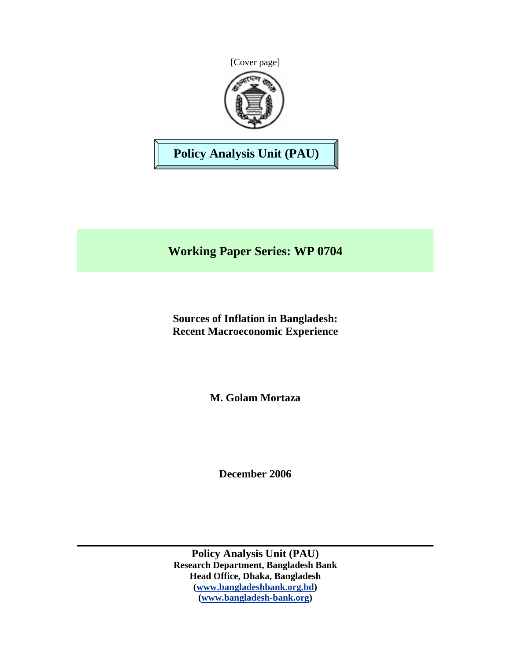



**Policy Analysis Unit (PAU)** 

**Working Paper Series: WP 0704** 

**Sources of Inflation in Bangladesh: Recent Macroeconomic Experience** 

**M. Golam Mortaza**

**December 2006** 

**Policy Analysis Unit (PAU) Research Department, Bangladesh Bank Head Office, Dhaka, Bangladesh (www.bangladeshbank.org.bd) (www.bangladesh-bank.org)**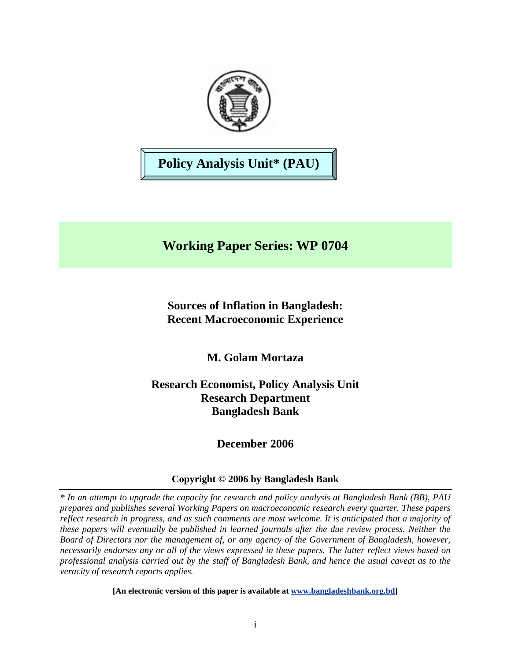

# **Policy Analysis Unit\* (PAU)**

# **Working Paper Series: WP 0704**

**Sources of Inflation in Bangladesh: Recent Macroeconomic Experience** 

**M. Golam Mortaza** 

**Research Economist, Policy Analysis Unit Research Department Bangladesh Bank** 

**December 2006** 

## **Copyright © 2006 by Bangladesh Bank**

*\* In an attempt to upgrade the capacity for research and policy analysis at Bangladesh Bank (BB), PAU prepares and publishes several Working Papers on macroeconomic research every quarter. These papers reflect research in progress, and as such comments are most welcome. It is anticipated that a majority of these papers will eventually be published in learned journals after the due review process. Neither the Board of Directors nor the management of, or any agency of the Government of Bangladesh, however, necessarily endorses any or all of the views expressed in these papers. The latter reflect views based on professional analysis carried out by the staff of Bangladesh Bank, and hence the usual caveat as to the veracity of research reports applies.*

**[An electronic version of this paper is available at www.bangladeshbank.org.bd]**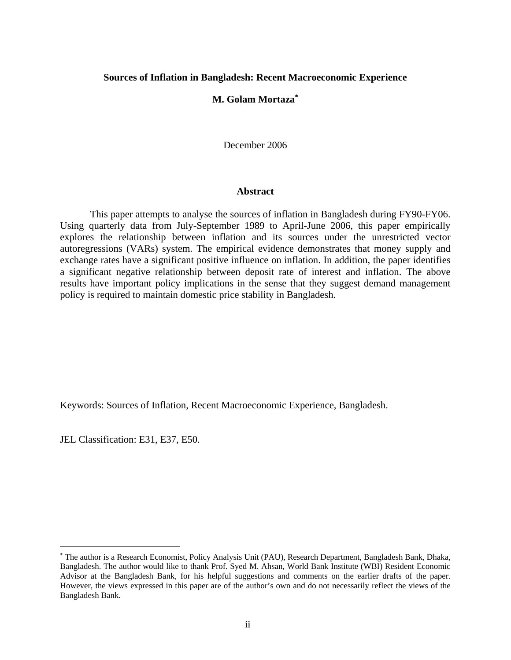#### **Sources of Inflation in Bangladesh: Recent Macroeconomic Experience**

#### **M. Golam Mortaza**<sup>∗</sup>

December 2006

#### **Abstract**

This paper attempts to analyse the sources of inflation in Bangladesh during FY90-FY06. Using quarterly data from July-September 1989 to April-June 2006, this paper empirically explores the relationship between inflation and its sources under the unrestricted vector autoregressions (VARs) system. The empirical evidence demonstrates that money supply and exchange rates have a significant positive influence on inflation. In addition, the paper identifies a significant negative relationship between deposit rate of interest and inflation. The above results have important policy implications in the sense that they suggest demand management policy is required to maintain domestic price stability in Bangladesh.

Keywords: Sources of Inflation, Recent Macroeconomic Experience, Bangladesh.

JEL Classification: E31, E37, E50.

 $\overline{a}$ 

<sup>∗</sup> The author is a Research Economist, Policy Analysis Unit (PAU), Research Department, Bangladesh Bank, Dhaka, Bangladesh. The author would like to thank Prof. Syed M. Ahsan, World Bank Institute (WBI) Resident Economic Advisor at the Bangladesh Bank, for his helpful suggestions and comments on the earlier drafts of the paper. However, the views expressed in this paper are of the author's own and do not necessarily reflect the views of the Bangladesh Bank.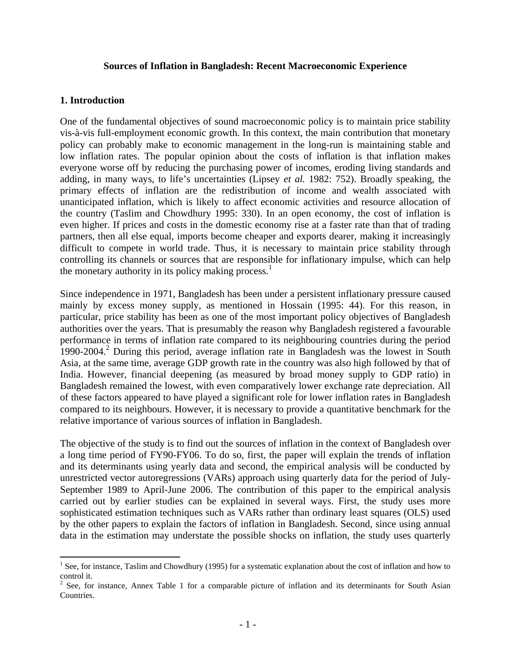#### **Sources of Inflation in Bangladesh: Recent Macroeconomic Experience**

#### **1. Introduction**

 $\overline{a}$ 

One of the fundamental objectives of sound macroeconomic policy is to maintain price stability vis-à-vis full-employment economic growth. In this context, the main contribution that monetary policy can probably make to economic management in the long-run is maintaining stable and low inflation rates. The popular opinion about the costs of inflation is that inflation makes everyone worse off by reducing the purchasing power of incomes, eroding living standards and adding, in many ways, to life's uncertainties (Lipsey *et al.* 1982: 752). Broadly speaking, the primary effects of inflation are the redistribution of income and wealth associated with unanticipated inflation, which is likely to affect economic activities and resource allocation of the country (Taslim and Chowdhury 1995: 330). In an open economy, the cost of inflation is even higher. If prices and costs in the domestic economy rise at a faster rate than that of trading partners, then all else equal, imports become cheaper and exports dearer, making it increasingly difficult to compete in world trade. Thus, it is necessary to maintain price stability through controlling its channels or sources that are responsible for inflationary impulse, which can help the monetary authority in its policy making process.<sup>1</sup>

Since independence in 1971, Bangladesh has been under a persistent inflationary pressure caused mainly by excess money supply, as mentioned in Hossain (1995: 44). For this reason, in particular, price stability has been as one of the most important policy objectives of Bangladesh authorities over the years. That is presumably the reason why Bangladesh registered a favourable performance in terms of inflation rate compared to its neighbouring countries during the period 1990-2004.<sup>2</sup> During this period, average inflation rate in Bangladesh was the lowest in South Asia, at the same time, average GDP growth rate in the country was also high followed by that of India. However, financial deepening (as measured by broad money supply to GDP ratio) in Bangladesh remained the lowest, with even comparatively lower exchange rate depreciation. All of these factors appeared to have played a significant role for lower inflation rates in Bangladesh compared to its neighbours. However, it is necessary to provide a quantitative benchmark for the relative importance of various sources of inflation in Bangladesh.

The objective of the study is to find out the sources of inflation in the context of Bangladesh over a long time period of FY90-FY06. To do so, first, the paper will explain the trends of inflation and its determinants using yearly data and second, the empirical analysis will be conducted by unrestricted vector autoregressions (VARs) approach using quarterly data for the period of July-September 1989 to April-June 2006. The contribution of this paper to the empirical analysis carried out by earlier studies can be explained in several ways. First, the study uses more sophisticated estimation techniques such as VARs rather than ordinary least squares (OLS) used by the other papers to explain the factors of inflation in Bangladesh. Second, since using annual data in the estimation may understate the possible shocks on inflation, the study uses quarterly

<sup>&</sup>lt;sup>1</sup> See, for instance, Taslim and Chowdhury (1995) for a systematic explanation about the cost of inflation and how to control it.

 $2^2$  See, for instance, Annex Table 1 for a comparable picture of inflation and its determinants for South Asian Countries.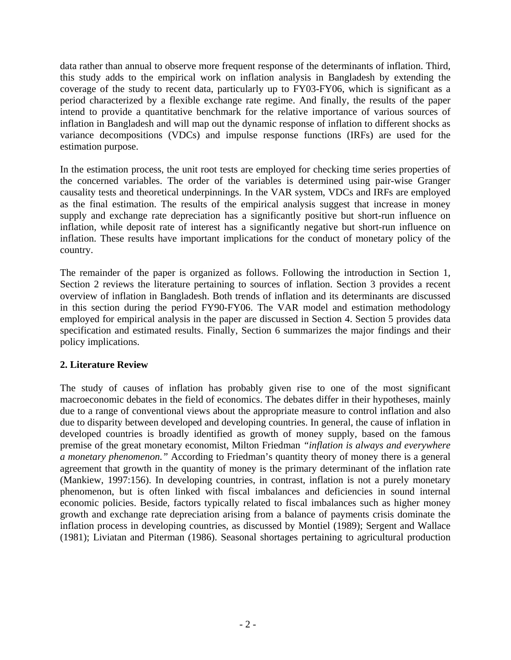data rather than annual to observe more frequent response of the determinants of inflation. Third, this study adds to the empirical work on inflation analysis in Bangladesh by extending the coverage of the study to recent data, particularly up to FY03-FY06, which is significant as a period characterized by a flexible exchange rate regime. And finally, the results of the paper intend to provide a quantitative benchmark for the relative importance of various sources of inflation in Bangladesh and will map out the dynamic response of inflation to different shocks as variance decompositions (VDCs) and impulse response functions (IRFs) are used for the estimation purpose.

In the estimation process, the unit root tests are employed for checking time series properties of the concerned variables. The order of the variables is determined using pair-wise Granger causality tests and theoretical underpinnings. In the VAR system, VDCs and IRFs are employed as the final estimation. The results of the empirical analysis suggest that increase in money supply and exchange rate depreciation has a significantly positive but short-run influence on inflation, while deposit rate of interest has a significantly negative but short-run influence on inflation. These results have important implications for the conduct of monetary policy of the country.

The remainder of the paper is organized as follows. Following the introduction in Section 1, Section 2 reviews the literature pertaining to sources of inflation. Section 3 provides a recent overview of inflation in Bangladesh. Both trends of inflation and its determinants are discussed in this section during the period FY90-FY06. The VAR model and estimation methodology employed for empirical analysis in the paper are discussed in Section 4. Section 5 provides data specification and estimated results. Finally, Section 6 summarizes the major findings and their policy implications.

## **2. Literature Review**

The study of causes of inflation has probably given rise to one of the most significant macroeconomic debates in the field of economics. The debates differ in their hypotheses, mainly due to a range of conventional views about the appropriate measure to control inflation and also due to disparity between developed and developing countries. In general, the cause of inflation in developed countries is broadly identified as growth of money supply, based on the famous premise of the great monetary economist, Milton Friedman *"inflation is always and everywhere a monetary phenomenon."* According to Friedman's quantity theory of money there is a general agreement that growth in the quantity of money is the primary determinant of the inflation rate (Mankiew, 1997:156). In developing countries, in contrast, inflation is not a purely monetary phenomenon, but is often linked with fiscal imbalances and deficiencies in sound internal economic policies. Beside, factors typically related to fiscal imbalances such as higher money growth and exchange rate depreciation arising from a balance of payments crisis dominate the inflation process in developing countries, as discussed by Montiel (1989); Sergent and Wallace (1981); Liviatan and Piterman (1986). Seasonal shortages pertaining to agricultural production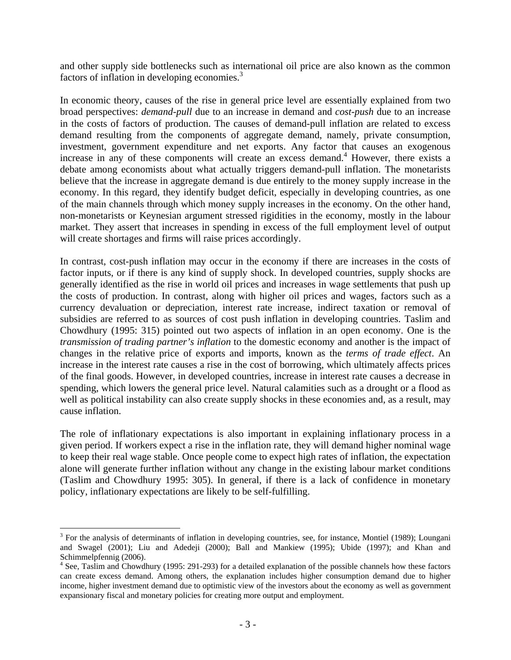and other supply side bottlenecks such as international oil price are also known as the common factors of inflation in developing economies.<sup>3</sup>

In economic theory, causes of the rise in general price level are essentially explained from two broad perspectives: *demand-pull* due to an increase in demand and *cost-push* due to an increase in the costs of factors of production. The causes of demand-pull inflation are related to excess demand resulting from the components of aggregate demand, namely, private consumption, investment, government expenditure and net exports. Any factor that causes an exogenous increase in any of these components will create an excess demand.<sup>4</sup> However, there exists a debate among economists about what actually triggers demand-pull inflation. The monetarists believe that the increase in aggregate demand is due entirely to the money supply increase in the economy. In this regard, they identify budget deficit, especially in developing countries, as one of the main channels through which money supply increases in the economy. On the other hand, non-monetarists or Keynesian argument stressed rigidities in the economy, mostly in the labour market. They assert that increases in spending in excess of the full employment level of output will create shortages and firms will raise prices accordingly.

In contrast, cost-push inflation may occur in the economy if there are increases in the costs of factor inputs, or if there is any kind of supply shock. In developed countries, supply shocks are generally identified as the rise in world oil prices and increases in wage settlements that push up the costs of production. In contrast, along with higher oil prices and wages, factors such as a currency devaluation or depreciation, interest rate increase, indirect taxation or removal of subsidies are referred to as sources of cost push inflation in developing countries. Taslim and Chowdhury (1995: 315) pointed out two aspects of inflation in an open economy. One is the *transmission of trading partner's inflation* to the domestic economy and another is the impact of changes in the relative price of exports and imports, known as the *terms of trade effect*. An increase in the interest rate causes a rise in the cost of borrowing, which ultimately affects prices of the final goods. However, in developed countries, increase in interest rate causes a decrease in spending, which lowers the general price level. Natural calamities such as a drought or a flood as well as political instability can also create supply shocks in these economies and, as a result, may cause inflation.

The role of inflationary expectations is also important in explaining inflationary process in a given period. If workers expect a rise in the inflation rate, they will demand higher nominal wage to keep their real wage stable. Once people come to expect high rates of inflation, the expectation alone will generate further inflation without any change in the existing labour market conditions (Taslim and Chowdhury 1995: 305). In general, if there is a lack of confidence in monetary policy, inflationary expectations are likely to be self-fulfilling.

 $\overline{a}$ 

 $3$  For the analysis of determinants of inflation in developing countries, see, for instance, Montiel (1989); Loungani and Swagel (2001); Liu and Adedeji (2000); Ball and Mankiew (1995); Ubide (1997); and Khan and Schimmelpfennig (2006).

<sup>&</sup>lt;sup>4</sup> See, Taslim and Chowdhury (1995: 291-293) for a detailed explanation of the possible channels how these factors can create excess demand. Among others, the explanation includes higher consumption demand due to higher income, higher investment demand due to optimistic view of the investors about the economy as well as government expansionary fiscal and monetary policies for creating more output and employment.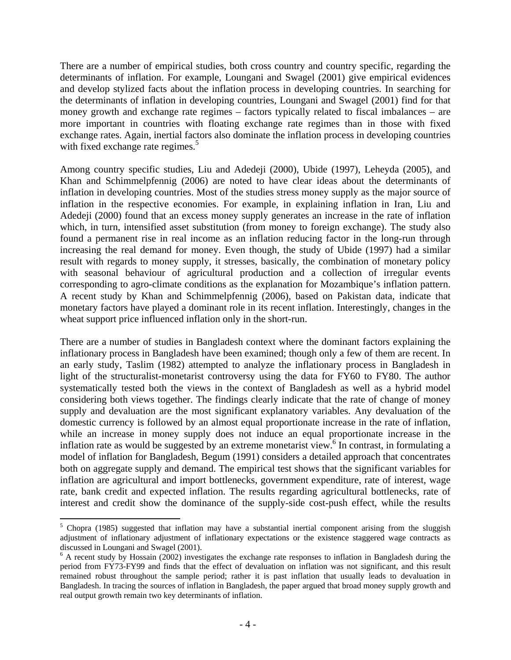There are a number of empirical studies, both cross country and country specific, regarding the determinants of inflation. For example, Loungani and Swagel (2001) give empirical evidences and develop stylized facts about the inflation process in developing countries. In searching for the determinants of inflation in developing countries, Loungani and Swagel (2001) find for that money growth and exchange rate regimes – factors typically related to fiscal imbalances – are more important in countries with floating exchange rate regimes than in those with fixed exchange rates. Again, inertial factors also dominate the inflation process in developing countries with fixed exchange rate regimes.<sup>5</sup>

Among country specific studies, Liu and Adedeji (2000), Ubide (1997), Leheyda (2005), and Khan and Schimmelpfennig (2006) are noted to have clear ideas about the determinants of inflation in developing countries. Most of the studies stress money supply as the major source of inflation in the respective economies. For example, in explaining inflation in Iran, Liu and Adedeji (2000) found that an excess money supply generates an increase in the rate of inflation which, in turn, intensified asset substitution (from money to foreign exchange). The study also found a permanent rise in real income as an inflation reducing factor in the long-run through increasing the real demand for money. Even though, the study of Ubide (1997) had a similar result with regards to money supply, it stresses, basically, the combination of monetary policy with seasonal behaviour of agricultural production and a collection of irregular events corresponding to agro-climate conditions as the explanation for Mozambique's inflation pattern. A recent study by Khan and Schimmelpfennig (2006), based on Pakistan data, indicate that monetary factors have played a dominant role in its recent inflation. Interestingly, changes in the wheat support price influenced inflation only in the short-run.

There are a number of studies in Bangladesh context where the dominant factors explaining the inflationary process in Bangladesh have been examined; though only a few of them are recent. In an early study, Taslim (1982) attempted to analyze the inflationary process in Bangladesh in light of the structuralist-monetarist controversy using the data for FY60 to FY80. The author systematically tested both the views in the context of Bangladesh as well as a hybrid model considering both views together. The findings clearly indicate that the rate of change of money supply and devaluation are the most significant explanatory variables. Any devaluation of the domestic currency is followed by an almost equal proportionate increase in the rate of inflation, while an increase in money supply does not induce an equal proportionate increase in the inflation rate as would be suggested by an extreme monetarist view.<sup>6</sup> In contrast, in formulating a model of inflation for Bangladesh, Begum (1991) considers a detailed approach that concentrates both on aggregate supply and demand. The empirical test shows that the significant variables for inflation are agricultural and import bottlenecks, government expenditure, rate of interest, wage rate, bank credit and expected inflation. The results regarding agricultural bottlenecks, rate of interest and credit show the dominance of the supply-side cost-push effect, while the results

1

<sup>&</sup>lt;sup>5</sup> Chopra (1985) suggested that inflation may have a substantial inertial component arising from the sluggish adjustment of inflationary adjustment of inflationary expectations or the existence staggered wage contracts as discussed in Loungani and Swagel (2001).

<sup>&</sup>lt;sup>6</sup> A recent study by Hossain (2002) investigates the exchange rate responses to inflation in Bangladesh during the period from FY73-FY99 and finds that the effect of devaluation on inflation was not significant, and this result remained robust throughout the sample period; rather it is past inflation that usually leads to devaluation in Bangladesh. In tracing the sources of inflation in Bangladesh, the paper argued that broad money supply growth and real output growth remain two key determinants of inflation.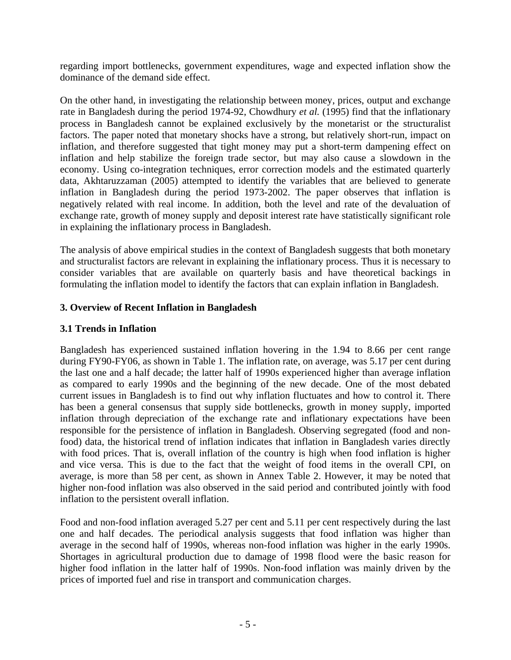regarding import bottlenecks, government expenditures, wage and expected inflation show the dominance of the demand side effect.

On the other hand, in investigating the relationship between money, prices, output and exchange rate in Bangladesh during the period 1974-92, Chowdhury *et al.* (1995) find that the inflationary process in Bangladesh cannot be explained exclusively by the monetarist or the structuralist factors. The paper noted that monetary shocks have a strong, but relatively short-run, impact on inflation, and therefore suggested that tight money may put a short-term dampening effect on inflation and help stabilize the foreign trade sector, but may also cause a slowdown in the economy. Using co-integration techniques, error correction models and the estimated quarterly data, Akhtaruzzaman (2005) attempted to identify the variables that are believed to generate inflation in Bangladesh during the period 1973-2002. The paper observes that inflation is negatively related with real income. In addition, both the level and rate of the devaluation of exchange rate, growth of money supply and deposit interest rate have statistically significant role in explaining the inflationary process in Bangladesh.

The analysis of above empirical studies in the context of Bangladesh suggests that both monetary and structuralist factors are relevant in explaining the inflationary process. Thus it is necessary to consider variables that are available on quarterly basis and have theoretical backings in formulating the inflation model to identify the factors that can explain inflation in Bangladesh.

## **3. Overview of Recent Inflation in Bangladesh**

## **3.1 Trends in Inflation**

Bangladesh has experienced sustained inflation hovering in the 1.94 to 8.66 per cent range during FY90-FY06, as shown in Table 1. The inflation rate, on average, was 5.17 per cent during the last one and a half decade; the latter half of 1990s experienced higher than average inflation as compared to early 1990s and the beginning of the new decade. One of the most debated current issues in Bangladesh is to find out why inflation fluctuates and how to control it. There has been a general consensus that supply side bottlenecks, growth in money supply, imported inflation through depreciation of the exchange rate and inflationary expectations have been responsible for the persistence of inflation in Bangladesh. Observing segregated (food and nonfood) data, the historical trend of inflation indicates that inflation in Bangladesh varies directly with food prices. That is, overall inflation of the country is high when food inflation is higher and vice versa. This is due to the fact that the weight of food items in the overall CPI, on average, is more than 58 per cent, as shown in Annex Table 2. However, it may be noted that higher non-food inflation was also observed in the said period and contributed jointly with food inflation to the persistent overall inflation.

Food and non-food inflation averaged 5.27 per cent and 5.11 per cent respectively during the last one and half decades. The periodical analysis suggests that food inflation was higher than average in the second half of 1990s, whereas non-food inflation was higher in the early 1990s. Shortages in agricultural production due to damage of 1998 flood were the basic reason for higher food inflation in the latter half of 1990s. Non-food inflation was mainly driven by the prices of imported fuel and rise in transport and communication charges.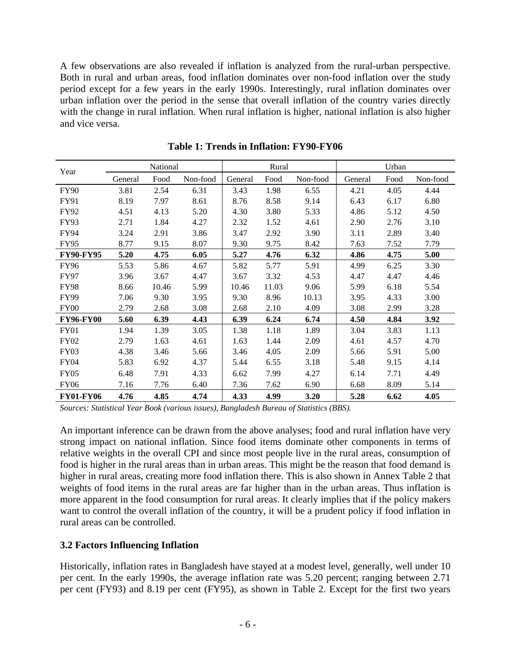A few observations are also revealed if inflation is analyzed from the rural-urban perspective. Both in rural and urban areas, food inflation dominates over non-food inflation over the study period except for a few years in the early 1990s. Interestingly, rural inflation dominates over urban inflation over the period in the sense that overall inflation of the country varies directly with the change in rural inflation. When rural inflation is higher, national inflation is also higher and vice versa.

| Year             | National |       |          | Rural   |       |          | Urban   |      |          |
|------------------|----------|-------|----------|---------|-------|----------|---------|------|----------|
|                  | General  | Food  | Non-food | General | Food  | Non-food | General | Food | Non-food |
| <b>FY90</b>      | 3.81     | 2.54  | 6.31     | 3.43    | 1.98  | 6.55     | 4.21    | 4.05 | 4.44     |
| <b>FY91</b>      | 8.19     | 7.97  | 8.61     | 8.76    | 8.58  | 9.14     | 6.43    | 6.17 | 6.80     |
| FY92             | 4.51     | 4.13  | 5.20     | 4.30    | 3.80  | 5.33     | 4.86    | 5.12 | 4.50     |
| <b>FY93</b>      | 2.71     | 1.84  | 4.27     | 2.32    | 1.52  | 4.61     | 2.90    | 2.76 | 3.10     |
| <b>FY94</b>      | 3.24     | 2.91  | 3.86     | 3.47    | 2.92  | 3.90     | 3.11    | 2.89 | 3.40     |
| <b>FY95</b>      | 8.77     | 9.15  | 8.07     | 9.30    | 9.75  | 8.42     | 7.63    | 7.52 | 7.79     |
| <b>FY90-FY95</b> | 5.20     | 4.75  | 6.05     | 5.27    | 4.76  | 6.32     | 4.86    | 4.75 | 5.00     |
| <b>FY96</b>      | 5.53     | 5.86  | 4.67     | 5.82    | 5.77  | 5.91     | 4.99    | 6.25 | 3.30     |
| <b>FY97</b>      | 3.96     | 3.67  | 4.47     | 3.67    | 3.32  | 4.53     | 4.47    | 4.47 | 4.46     |
| <b>FY98</b>      | 8.66     | 10.46 | 5.99     | 10.46   | 11.03 | 9.06     | 5.99    | 6.18 | 5.54     |
| <b>FY99</b>      | 7.06     | 9.30  | 3.95     | 9.30    | 8.96  | 10.13    | 3.95    | 4.33 | 3.00     |
| FY <sub>00</sub> | 2.79     | 2.68  | 3.08     | 2.68    | 2.10  | 4.09     | 3.08    | 2.99 | 3.28     |
| <b>FY96-FY00</b> | 5.60     | 6.39  | 4.43     | 6.39    | 6.24  | 6.74     | 4.50    | 4.84 | 3.92     |
| FY01             | 1.94     | 1.39  | 3.05     | 1.38    | 1.18  | 1.89     | 3.04    | 3.83 | 1.13     |
| <b>FY02</b>      | 2.79     | 1.63  | 4.61     | 1.63    | 1.44  | 2.09     | 4.61    | 4.57 | 4.70     |
| FY03             | 4.38     | 3.46  | 5.66     | 3.46    | 4.05  | 2.09     | 5.66    | 5.91 | 5.00     |
| <b>FY04</b>      | 5.83     | 6.92  | 4.37     | 5.44    | 6.55  | 3.18     | 5.48    | 9.15 | 4.14     |
| <b>FY05</b>      | 6.48     | 7.91  | 4.33     | 6.62    | 7.99  | 4.27     | 6.14    | 7.71 | 4.49     |
| <b>FY06</b>      | 7.16     | 7.76  | 6.40     | 7.36    | 7.62  | 6.90     | 6.68    | 8.09 | 5.14     |
| <b>FY01-FY06</b> | 4.76     | 4.85  | 4.74     | 4.33    | 4.99  | 3.20     | 5.28    | 6.62 | 4.05     |

**Table 1: Trends in Inflation: FY90-FY06** 

*Sources: Statistical Year Book (various issues), Bangladesh Bureau of Statistics (BBS).*

An important inference can be drawn from the above analyses; food and rural inflation have very strong impact on national inflation. Since food items dominate other components in terms of relative weights in the overall CPI and since most people live in the rural areas, consumption of food is higher in the rural areas than in urban areas. This might be the reason that food demand is higher in rural areas, creating more food inflation there. This is also shown in Annex Table 2 that weights of food items in the rural areas are far higher than in the urban areas. Thus inflation is more apparent in the food consumption for rural areas. It clearly implies that if the policy makers want to control the overall inflation of the country, it will be a prudent policy if food inflation in rural areas can be controlled.

## **3.2 Factors Influencing Inflation**

Historically, inflation rates in Bangladesh have stayed at a modest level, generally, well under 10 per cent. In the early 1990s, the average inflation rate was 5.20 percent; ranging between 2.71 per cent (FY93) and 8.19 per cent (FY95), as shown in Table 2. Except for the first two years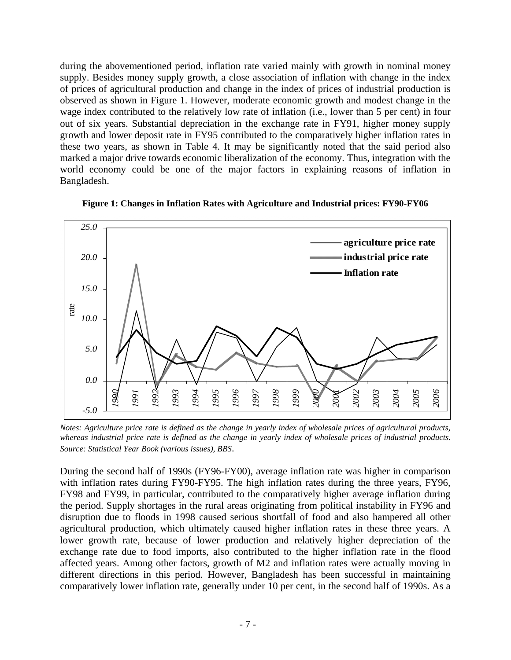during the abovementioned period, inflation rate varied mainly with growth in nominal money supply. Besides money supply growth, a close association of inflation with change in the index of prices of agricultural production and change in the index of prices of industrial production is observed as shown in Figure 1. However, moderate economic growth and modest change in the wage index contributed to the relatively low rate of inflation (i.e., lower than 5 per cent) in four out of six years. Substantial depreciation in the exchange rate in FY91, higher money supply growth and lower deposit rate in FY95 contributed to the comparatively higher inflation rates in these two years, as shown in Table 4. It may be significantly noted that the said period also marked a major drive towards economic liberalization of the economy. Thus, integration with the world economy could be one of the major factors in explaining reasons of inflation in Bangladesh.



**Figure 1: Changes in Inflation Rates with Agriculture and Industrial prices: FY90-FY06** 

*Notes: Agriculture price rate is defined as the change in yearly index of wholesale prices of agricultural products, whereas industrial price rate is defined as the change in yearly index of wholesale prices of industrial products. Source: Statistical Year Book (various issues), BBS*.

During the second half of 1990s (FY96-FY00), average inflation rate was higher in comparison with inflation rates during FY90-FY95. The high inflation rates during the three years, FY96, FY98 and FY99, in particular, contributed to the comparatively higher average inflation during the period. Supply shortages in the rural areas originating from political instability in FY96 and disruption due to floods in 1998 caused serious shortfall of food and also hampered all other agricultural production, which ultimately caused higher inflation rates in these three years. A lower growth rate, because of lower production and relatively higher depreciation of the exchange rate due to food imports, also contributed to the higher inflation rate in the flood affected years. Among other factors, growth of M2 and inflation rates were actually moving in different directions in this period. However, Bangladesh has been successful in maintaining comparatively lower inflation rate, generally under 10 per cent, in the second half of 1990s. As a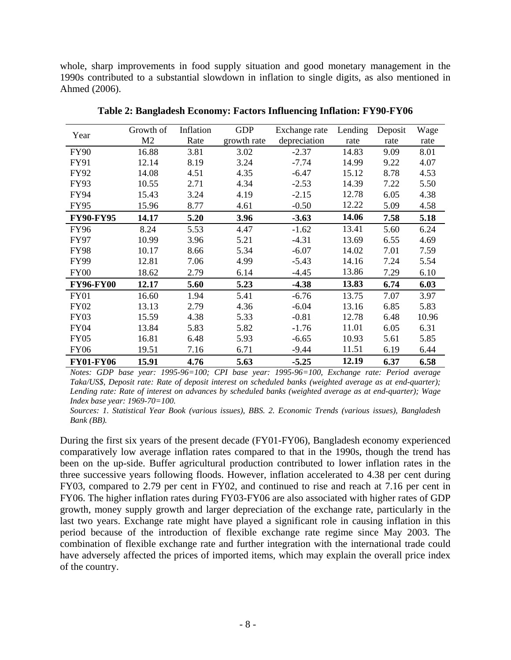whole, sharp improvements in food supply situation and good monetary management in the 1990s contributed to a substantial slowdown in inflation to single digits, as also mentioned in Ahmed (2006).

| Year             | Growth of      | Inflation | <b>GDP</b>  | Exchange rate | Lending | Deposit | Wage  |
|------------------|----------------|-----------|-------------|---------------|---------|---------|-------|
|                  | M <sub>2</sub> | Rate      | growth rate | depreciation  | rate    | rate    | rate  |
| <b>FY90</b>      | 16.88          | 3.81      | 3.02        | $-2.37$       | 14.83   | 9.09    | 8.01  |
| FY91             | 12.14          | 8.19      | 3.24        | $-7.74$       | 14.99   | 9.22    | 4.07  |
| FY92             | 14.08          | 4.51      | 4.35        | $-6.47$       | 15.12   | 8.78    | 4.53  |
| FY93             | 10.55          | 2.71      | 4.34        | $-2.53$       | 14.39   | 7.22    | 5.50  |
| FY94             | 15.43          | 3.24      | 4.19        | $-2.15$       | 12.78   | 6.05    | 4.38  |
| <b>FY95</b>      | 15.96          | 8.77      | 4.61        | $-0.50$       | 12.22   | 5.09    | 4.58  |
| <b>FY90-FY95</b> | 14.17          | 5.20      | 3.96        | $-3.63$       | 14.06   | 7.58    | 5.18  |
| <b>FY96</b>      | 8.24           | 5.53      | 4.47        | $-1.62$       | 13.41   | 5.60    | 6.24  |
| <b>FY97</b>      | 10.99          | 3.96      | 5.21        | $-4.31$       | 13.69   | 6.55    | 4.69  |
| <b>FY98</b>      | 10.17          | 8.66      | 5.34        | $-6.07$       | 14.02   | 7.01    | 7.59  |
| <b>FY99</b>      | 12.81          | 7.06      | 4.99        | $-5.43$       | 14.16   | 7.24    | 5.54  |
| <b>FY00</b>      | 18.62          | 2.79      | 6.14        | $-4.45$       | 13.86   | 7.29    | 6.10  |
| <b>FY96-FY00</b> | 12.17          | 5.60      | 5.23        | $-4.38$       | 13.83   | 6.74    | 6.03  |
| <b>FY01</b>      | 16.60          | 1.94      | 5.41        | $-6.76$       | 13.75   | 7.07    | 3.97  |
| <b>FY02</b>      | 13.13          | 2.79      | 4.36        | $-6.04$       | 13.16   | 6.85    | 5.83  |
| <b>FY03</b>      | 15.59          | 4.38      | 5.33        | $-0.81$       | 12.78   | 6.48    | 10.96 |
| <b>FY04</b>      | 13.84          | 5.83      | 5.82        | $-1.76$       | 11.01   | 6.05    | 6.31  |
| <b>FY05</b>      | 16.81          | 6.48      | 5.93        | $-6.65$       | 10.93   | 5.61    | 5.85  |
| <b>FY06</b>      | 19.51          | 7.16      | 6.71        | $-9.44$       | 11.51   | 6.19    | 6.44  |
| <b>FY01-FY06</b> | 15.91          | 4.76      | 5.63        | $-5.25$       | 12.19   | 6.37    | 6.58  |

**Table 2: Bangladesh Economy: Factors Influencing Inflation: FY90-FY06** 

*Notes: GDP base year: 1995-96=100; CPI base year: 1995-96=100, Exchange rate: Period average Taka/US\$, Deposit rate: Rate of deposit interest on scheduled banks (weighted average as at end-quarter); Lending rate: Rate of interest on advances by scheduled banks (weighted average as at end-quarter); Wage Index base year: 1969-70=100.* 

*Sources: 1. Statistical Year Book (various issues), BBS. 2. Economic Trends (various issues), Bangladesh Bank (BB).*

During the first six years of the present decade (FY01-FY06), Bangladesh economy experienced comparatively low average inflation rates compared to that in the 1990s, though the trend has been on the up-side. Buffer agricultural production contributed to lower inflation rates in the three successive years following floods. However, inflation accelerated to 4.38 per cent during FY03, compared to 2.79 per cent in FY02, and continued to rise and reach at 7.16 per cent in FY06. The higher inflation rates during FY03-FY06 are also associated with higher rates of GDP growth, money supply growth and larger depreciation of the exchange rate, particularly in the last two years. Exchange rate might have played a significant role in causing inflation in this period because of the introduction of flexible exchange rate regime since May 2003. The combination of flexible exchange rate and further integration with the international trade could have adversely affected the prices of imported items, which may explain the overall price index of the country.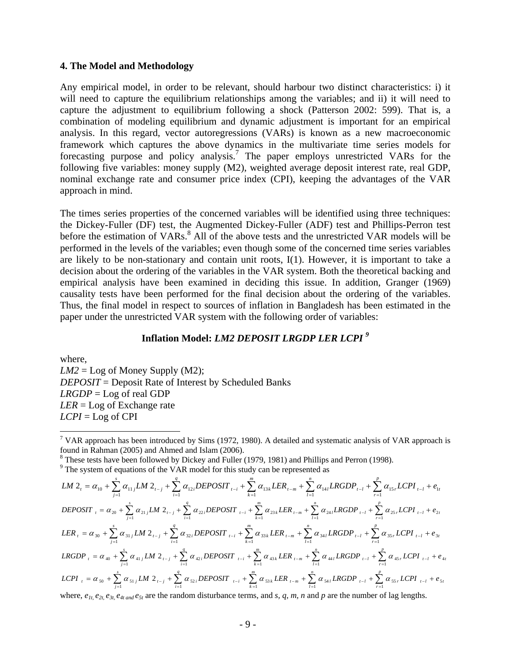#### **4. The Model and Methodology**

Any empirical model, in order to be relevant, should harbour two distinct characteristics: i) it will need to capture the equilibrium relationships among the variables; and ii) it will need to capture the adjustment to equilibrium following a shock (Patterson 2002: 599). That is, a combination of modeling equilibrium and dynamic adjustment is important for an empirical analysis. In this regard, vector autoregressions (VARs) is known as a new macroeconomic framework which captures the above dynamics in the multivariate time series models for forecasting purpose and policy analysis.<sup>7</sup> The paper employs unrestricted VARs for the following five variables: money supply (M2), weighted average deposit interest rate, real GDP, nominal exchange rate and consumer price index (CPI), keeping the advantages of the VAR approach in mind.

The times series properties of the concerned variables will be identified using three techniques: the Dickey-Fuller (DF) test, the Augmented Dickey-Fuller (ADF) test and Phillips-Perron test before the estimation of VARs.<sup>8</sup> All of the above tests and the unrestricted VAR models will be performed in the levels of the variables; even though some of the concerned time series variables are likely to be non-stationary and contain unit roots, I(1). However, it is important to take a decision about the ordering of the variables in the VAR system. Both the theoretical backing and empirical analysis have been examined in deciding this issue. In addition, Granger (1969) causality tests have been performed for the final decision about the ordering of the variables. Thus, the final model in respect to sources of inflation in Bangladesh has been estimated in the paper under the unrestricted VAR system with the following order of variables:

## **Inflation Model:** *LM2 DEPOSIT LRGDP LER LCPI <sup>9</sup>*

where,  $LM2 = Log$  of Money Supply (M2); *DEPOSIT* = Deposit Rate of Interest by Scheduled Banks *LRGDP* = Log of real GDP *LER* = Log of Exchange rate *LCPI* = Log of CPI

 $\overline{a}$ 

 $8$  These tests have been followed by Dickey and Fuller (1979, 1981) and Phillips and Perron (1998).

 $9$ <sup>9</sup> The system of equations of the VAR model for this study can be represented as

$$
LM 2_{t} = \alpha_{10} + \sum_{j=1}^{s} \alpha_{11j} LM 2_{t-j} + \sum_{i=1}^{q} \alpha_{12i} DEPOSIT_{t-i} + \sum_{k=1}^{m} \alpha_{13k} LER_{t-m} + \sum_{l=1}^{n} \alpha_{14l} LRGDP_{t-l} + \sum_{r=1}^{p} \alpha_{15r} LCPI_{t-l} + e_{1t}
$$
  
\n
$$
DEPOSIT_{t} = \alpha_{20} + \sum_{j=1}^{s} \alpha_{21j} LM 2_{t-j} + \sum_{i=1}^{q} \alpha_{22i} DEPOSIT_{t-i} + \sum_{k=1}^{m} \alpha_{23k} LER_{t-m} + \sum_{l=1}^{n} \alpha_{24l} LRGDP_{t-l} + \sum_{r=1}^{p} \alpha_{25r} LCPI_{t-l} + e_{2t}
$$
  
\n
$$
LER_{t} = \alpha_{30} + \sum_{j=1}^{s} \alpha_{31j} LM 2_{t-j} + \sum_{l=1}^{q} \alpha_{32i} DEPOSIT_{t-i} + \sum_{k=1}^{m} \alpha_{33k} LER_{t-m} + \sum_{l=1}^{n} \alpha_{34l} LRGDP_{t-l} + \sum_{r=1}^{p} \alpha_{35r} LCPI_{t-l} + e_{3t}
$$
  
\n
$$
LRGDP_{t} = \alpha_{40} + \sum_{j=1}^{s} \alpha_{41j} LM 2_{t-j} + \sum_{i=1}^{q} \alpha_{42i} DEPOSIT_{t-i} + \sum_{k=1}^{m} \alpha_{43k} LER_{t-m} + \sum_{l=1}^{n} \alpha_{44l} LRGDP_{t-l} + \sum_{r=1}^{p} \alpha_{45r} LCPI_{t-l} + e_{4t}
$$
  
\n
$$
LCPI_{t} = \alpha_{50} + \sum_{j=1}^{s} \alpha_{51j} LM 2_{t-j} + \sum_{l=1}^{q} \alpha_{52i} DEPOSIT_{t-i} + \sum_{k=1}^{m} \alpha_{53k} LER_{t-m} + \sum_{l=1}^{n} \alpha_{54l} LRGDP_{t-l} + \sum_{r=1}^{p} \alpha_{55r} LCPI_{t-l} + e_{5t}
$$

where,  $e_{1t}$ ,  $e_{2t}$ ,  $e_{3t}$ ,  $e_{4t \text{ and }} e_{5t}$  are the random disturbance terms, and *s*, *q*, *m*, *n* and *p* are the number of lag lengths.

<sup>&</sup>lt;sup>7</sup> VAR approach has been introduced by Sims (1972, 1980). A detailed and systematic analysis of VAR approach is found in Rahman (2005) and Ahmed and Islam (2006).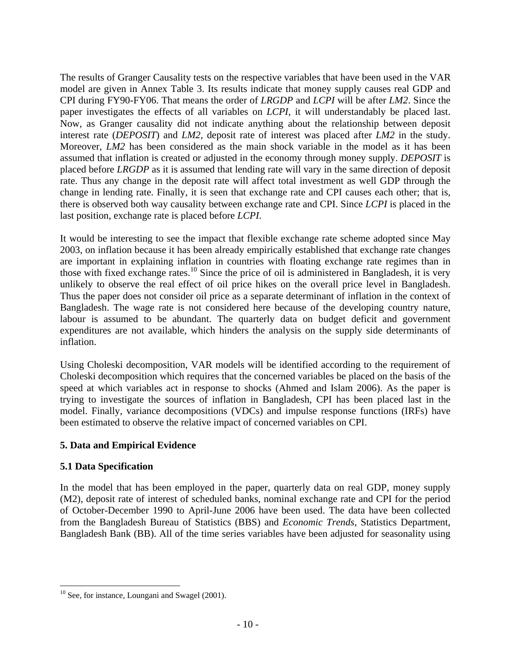The results of Granger Causality tests on the respective variables that have been used in the VAR model are given in Annex Table 3. Its results indicate that money supply causes real GDP and CPI during FY90-FY06. That means the order of *LRGDP* and *LCPI* will be after *LM2*. Since the paper investigates the effects of all variables on *LCPI*, it will understandably be placed last. Now, as Granger causality did not indicate anything about the relationship between deposit interest rate (*DEPOSIT*) and *LM2*, deposit rate of interest was placed after *LM2* in the study. Moreover, *LM2* has been considered as the main shock variable in the model as it has been assumed that inflation is created or adjusted in the economy through money supply. *DEPOSIT* is placed before *LRGDP* as it is assumed that lending rate will vary in the same direction of deposit rate. Thus any change in the deposit rate will affect total investment as well GDP through the change in lending rate. Finally, it is seen that exchange rate and CPI causes each other; that is, there is observed both way causality between exchange rate and CPI. Since *LCPI* is placed in the last position, exchange rate is placed before *LCPI*.

It would be interesting to see the impact that flexible exchange rate scheme adopted since May 2003, on inflation because it has been already empirically established that exchange rate changes are important in explaining inflation in countries with floating exchange rate regimes than in those with fixed exchange rates.<sup>10</sup> Since the price of oil is administered in Bangladesh, it is very unlikely to observe the real effect of oil price hikes on the overall price level in Bangladesh. Thus the paper does not consider oil price as a separate determinant of inflation in the context of Bangladesh. The wage rate is not considered here because of the developing country nature, labour is assumed to be abundant. The quarterly data on budget deficit and government expenditures are not available, which hinders the analysis on the supply side determinants of inflation.

Using Choleski decomposition, VAR models will be identified according to the requirement of Choleski decomposition which requires that the concerned variables be placed on the basis of the speed at which variables act in response to shocks (Ahmed and Islam 2006). As the paper is trying to investigate the sources of inflation in Bangladesh, CPI has been placed last in the model. Finally, variance decompositions (VDCs) and impulse response functions (IRFs) have been estimated to observe the relative impact of concerned variables on CPI.

## **5. Data and Empirical Evidence**

## **5.1 Data Specification**

In the model that has been employed in the paper, quarterly data on real GDP, money supply (M2), deposit rate of interest of scheduled banks, nominal exchange rate and CPI for the period of October-December 1990 to April-June 2006 have been used. The data have been collected from the Bangladesh Bureau of Statistics (BBS) and *Economic Trends*, Statistics Department, Bangladesh Bank (BB). All of the time series variables have been adjusted for seasonality using

 $\overline{a}$  $10$  See, for instance, Loungani and Swagel (2001).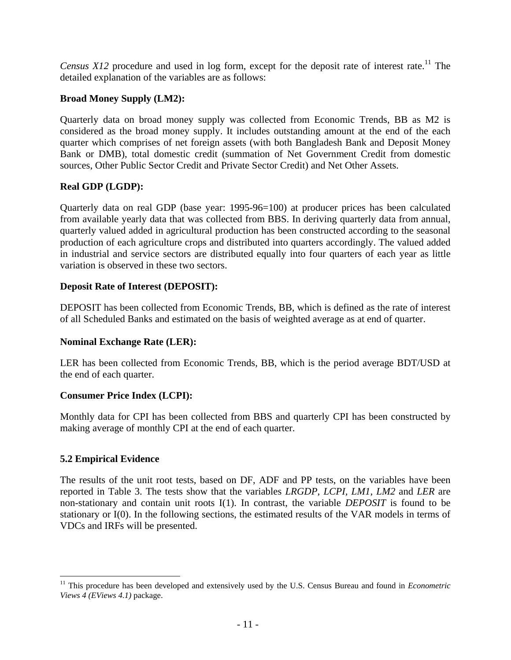*Census X12* procedure and used in log form, except for the deposit rate of interest rate.<sup>11</sup> The detailed explanation of the variables are as follows:

### **Broad Money Supply (LM2):**

Quarterly data on broad money supply was collected from Economic Trends, BB as M2 is considered as the broad money supply. It includes outstanding amount at the end of the each quarter which comprises of net foreign assets (with both Bangladesh Bank and Deposit Money Bank or DMB), total domestic credit (summation of Net Government Credit from domestic sources, Other Public Sector Credit and Private Sector Credit) and Net Other Assets.

#### **Real GDP (LGDP):**

Quarterly data on real GDP (base year: 1995-96=100) at producer prices has been calculated from available yearly data that was collected from BBS. In deriving quarterly data from annual, quarterly valued added in agricultural production has been constructed according to the seasonal production of each agriculture crops and distributed into quarters accordingly. The valued added in industrial and service sectors are distributed equally into four quarters of each year as little variation is observed in these two sectors.

#### **Deposit Rate of Interest (DEPOSIT):**

DEPOSIT has been collected from Economic Trends, BB, which is defined as the rate of interest of all Scheduled Banks and estimated on the basis of weighted average as at end of quarter.

#### **Nominal Exchange Rate (LER):**

LER has been collected from Economic Trends, BB, which is the period average BDT/USD at the end of each quarter.

#### **Consumer Price Index (LCPI):**

Monthly data for CPI has been collected from BBS and quarterly CPI has been constructed by making average of monthly CPI at the end of each quarter.

#### **5.2 Empirical Evidence**

 $\overline{a}$ 

The results of the unit root tests, based on DF, ADF and PP tests, on the variables have been reported in Table 3. The tests show that the variables *LRGDP, LCPI, LM1, LM2* and *LER* are non-stationary and contain unit roots I(1). In contrast, the variable *DEPOSIT* is found to be stationary or I(0). In the following sections, the estimated results of the VAR models in terms of VDCs and IRFs will be presented.

<sup>&</sup>lt;sup>11</sup> This procedure has been developed and extensively used by the U.S. Census Bureau and found in *Econometric Views 4 (EViews 4.1)* package.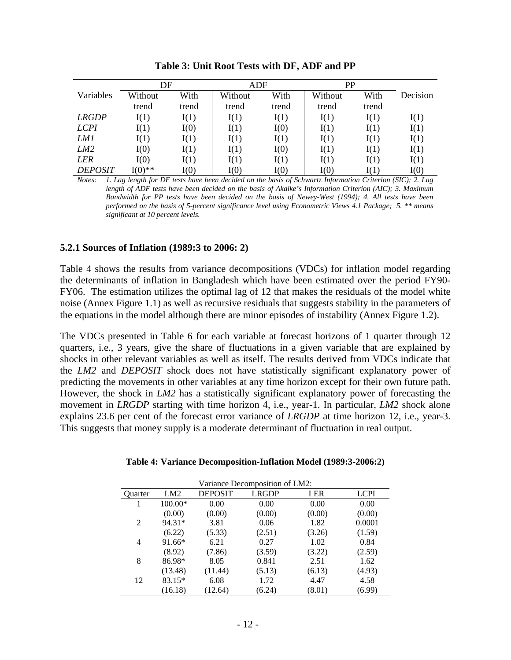|                 | DF        |       | ADF     |       | PP      |       |          |
|-----------------|-----------|-------|---------|-------|---------|-------|----------|
| Variables       | Without   | With  | Without | With  | Without | With  | Decision |
|                 | trend     | trend | trend   | trend | trend   | trend |          |
| <b>LRGDP</b>    | I(1)      | I(1)  | I(1)    | I(1)  | I(1)    | I(1)  | I(1)     |
| <b>LCPI</b>     | I(1)      | I(0)  | I(1)    | I(0)  | I(1)    | I(1)  | I(1)     |
| LM1             | I(1)      | I(1)  | I(1)    | I(1)  | I(1)    | I(1)  | I(1)     |
| LM <sub>2</sub> | I(0)      | I(1)  | I(1)    | I(0)  | I(1)    | I(1)  | I(1)     |
| LER             | I(0)      | I(1)  | I(1)    | I(1)  | I(1)    | I(1)  | I(1)     |
| <b>DEPOSIT</b>  | $I(0)$ ** | I(0)  | I(0)    | I(0)  | I(0)    | I(1)  | I(0)     |

**Table 3: Unit Root Tests with DF, ADF and PP** 

*Notes: 1. Lag length for DF tests have been decided on the basis of Schwartz Information Criterion (SIC); 2. Lag length of ADF tests have been decided on the basis of Akaike's Information Criterion (AIC); 3. Maximum Bandwidth for PP tests have been decided on the basis of Newey-West (1994); 4. All tests have been performed on the basis of 5-percent significance level using Econometric Views 4.1 Package; 5. \*\* means significant at 10 percent levels.* 

#### **5.2.1 Sources of Inflation (1989:3 to 2006: 2)**

Table 4 shows the results from variance decompositions (VDCs) for inflation model regarding the determinants of inflation in Bangladesh which have been estimated over the period FY90- FY06. The estimation utilizes the optimal lag of 12 that makes the residuals of the model white noise (Annex Figure 1.1) as well as recursive residuals that suggests stability in the parameters of the equations in the model although there are minor episodes of instability (Annex Figure 1.2).

The VDCs presented in Table 6 for each variable at forecast horizons of 1 quarter through 12 quarters, i.e., 3 years, give the share of fluctuations in a given variable that are explained by shocks in other relevant variables as well as itself. The results derived from VDCs indicate that the *LM2* and *DEPOSIT* shock does not have statistically significant explanatory power of predicting the movements in other variables at any time horizon except for their own future path. However, the shock in *LM2* has a statistically significant explanatory power of forecasting the movement in *LRGDP* starting with time horizon 4, i.e., year-1. In particular, *LM2* shock alone explains 23.6 per cent of the forecast error variance of *LRGDP* at time horizon 12, i.e., year-3. This suggests that money supply is a moderate determinant of fluctuation in real output.

| Variance Decomposition of LM2: |         |                |              |            |             |  |  |  |
|--------------------------------|---------|----------------|--------------|------------|-------------|--|--|--|
| Quarter                        | LM2     | <b>DEPOSIT</b> | <b>LRGDP</b> | <b>LER</b> | <b>LCPI</b> |  |  |  |
|                                | 100.00* | 0.00           | 0.00         | 0.00       | 0.00        |  |  |  |
|                                | (0.00)  | (0.00)         | (0.00)       | (0.00)     | (0.00)      |  |  |  |
| $\mathcal{L}$                  | 94.31*  | 3.81           | 0.06         | 1.82       | 0.0001      |  |  |  |
|                                | (6.22)  | (5.33)         | (2.51)       | (3.26)     | (1.59)      |  |  |  |
| 4                              | 91.66*  | 6.21           | 0.27         | 1.02       | 0.84        |  |  |  |
|                                | (8.92)  | (7.86)         | (3.59)       | (3.22)     | (2.59)      |  |  |  |
| 8                              | 86.98*  | 8.05           | 0.841        | 2.51       | 1.62        |  |  |  |
|                                | (13.48) | (11.44)        | (5.13)       | (6.13)     | (4.93)      |  |  |  |
| 12                             | 83.15*  | 6.08           | 1.72         | 4.47       | 4.58        |  |  |  |
|                                | (16.18) | (12.64)        | (6.24)       | (8.01)     | (6.99)      |  |  |  |

**Table 4: Variance Decomposition-Inflation Model (1989:3-2006:2)**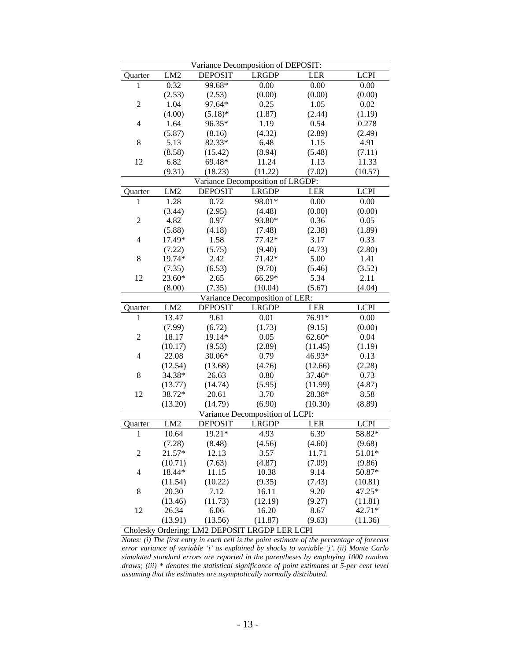| Variance Decomposition of DEPOSIT: |                 |                |                                  |            |             |  |  |
|------------------------------------|-----------------|----------------|----------------------------------|------------|-------------|--|--|
| Quarter                            | LM <sub>2</sub> | <b>DEPOSIT</b> | <b>LRGDP</b>                     | LER        | <b>LCPI</b> |  |  |
| 1                                  | 0.32            | 99.68*         | 0.00                             | 0.00       | 0.00        |  |  |
|                                    | (2.53)          | (2.53)         | (0.00)                           | (0.00)     | (0.00)      |  |  |
| $\overline{2}$                     | 1.04            | 97.64*         | 0.25                             | 1.05       | 0.02        |  |  |
|                                    | (4.00)          | $(5.18)$ *     | (1.87)                           | (2.44)     | (1.19)      |  |  |
| $\overline{4}$                     | 1.64            | 96.35*         | 1.19                             | 0.54       | 0.278       |  |  |
|                                    | (5.87)          | (8.16)         | (4.32)                           | (2.89)     | (2.49)      |  |  |
| 8                                  | 5.13            | 82.33*         | 6.48                             | 1.15       | 4.91        |  |  |
|                                    | (8.58)          | (15.42)        | (8.94)                           | (5.48)     | (7.11)      |  |  |
| 12                                 | 6.82            | 69.48*         | 11.24                            | 1.13       | 11.33       |  |  |
|                                    | (9.31)          | (18.23)        | (11.22)                          | (7.02)     | (10.57)     |  |  |
|                                    |                 |                | Variance Decomposition of LRGDP: |            |             |  |  |
| Quarter                            | LM <sub>2</sub> | <b>DEPOSIT</b> | <b>LRGDP</b>                     | <b>LER</b> | <b>LCPI</b> |  |  |
| 1                                  | 1.28            | 0.72           | 98.01*                           | 0.00       | 0.00        |  |  |
|                                    | (3.44)          | (2.95)         | (4.48)                           | (0.00)     | (0.00)      |  |  |
| $\overline{2}$                     | 4.82            | 0.97           | 93.80*                           | 0.36       | 0.05        |  |  |
|                                    | (5.88)          | (4.18)         | (7.48)                           | (2.38)     | (1.89)      |  |  |
| $\overline{4}$                     | 17.49*          | 1.58           | 77.42*                           | 3.17       | 0.33        |  |  |
|                                    | (7.22)          | (5.75)         | (9.40)                           | (4.73)     | (2.80)      |  |  |
| 8                                  | 19.74*          | 2.42           | 71.42*                           | 5.00       | 1.41        |  |  |
|                                    | (7.35)          | (6.53)         | (9.70)                           | (5.46)     | (3.52)      |  |  |
| 12                                 | 23.60*          | 2.65           | 66.29*                           | 5.34       | 2.11        |  |  |
|                                    | (8.00)          | (7.35)         | (10.04)                          | (5.67)     | (4.04)      |  |  |
|                                    |                 |                | Variance Decomposition of LER:   |            |             |  |  |
| Quarter                            | LM <sub>2</sub> | <b>DEPOSIT</b> | <b>LRGDP</b>                     | LER        | <b>LCPI</b> |  |  |
| 1                                  | 13.47           | 9.61           | 0.01                             | 76.91*     | 0.00        |  |  |
|                                    | (7.99)          | (6.72)         | (1.73)                           | (9.15)     | (0.00)      |  |  |
| $\overline{2}$                     | 18.17           | 19.14*         | 0.05                             | $62.60*$   | 0.04        |  |  |
|                                    | (10.17)         | (9.53)         | (2.89)                           | (11.45)    | (1.19)      |  |  |
| $\overline{\mathcal{L}}$           | 22.08           | 30.06*         | 0.79                             | 46.93*     | 0.13        |  |  |
|                                    | (12.54)         | (13.68)        | (4.76)                           | (12.66)    | (2.28)      |  |  |
| 8                                  | 34.38*          | 26.63          | 0.80                             | 37.46*     | 0.73        |  |  |
|                                    | (13.77)         | (14.74)        | (5.95)                           | (11.99)    | (4.87)      |  |  |
| 12                                 | 38.72*          | 20.61          | 3.70                             | 28.38*     | 8.58        |  |  |
|                                    | (13.20)         | (14.79)        | (6.90)                           | (10.30)    | (8.89)      |  |  |
|                                    |                 |                | Variance Decomposition of LCPI:  |            |             |  |  |
| Quarter                            | LM2             | <b>DEPOSIT</b> | <b>LRGDP</b>                     | <b>LER</b> | <b>LCPI</b> |  |  |
| $\mathbf{1}$                       | 10.64           | $19.21*$       | 4.93                             | 6.39       | 58.82*      |  |  |
|                                    | (7.28)          | (8.48)         | (4.56)                           | (4.60)     | (9.68)      |  |  |
| $\boldsymbol{2}$                   | 21.57*          | 12.13          | 3.57                             | 11.71      | 51.01*      |  |  |
|                                    | (10.71)         | (7.63)         | (4.87)                           | (7.09)     | (9.86)      |  |  |
| 4                                  | 18.44*          | 11.15          | 10.38                            | 9.14       | 50.87*      |  |  |
|                                    | (11.54)         | (10.22)        | (9.35)                           | (7.43)     | (10.81)     |  |  |
| 8                                  | 20.30           | 7.12           | 16.11                            | 9.20       | 47.25*      |  |  |
|                                    | (13.46)         | (11.73)        | (12.19)                          | (9.27)     | (11.81)     |  |  |
| 12                                 | 26.34           | 6.06           | 16.20                            | 8.67       | 42.71*      |  |  |
|                                    | (13.91)         | (13.56)        | (11.87)                          | (9.63)     | (11.36)     |  |  |
|                                    |                 |                |                                  |            |             |  |  |

Cholesky Ordering: LM2 DEPOSIT LRGDP LER LCPI

*Notes: (i) The first entry in each cell is the point estimate of the percentage of forecast error variance of variable 'i' as explained by shocks to variable 'j'. (ii) Monte Carlo simulated standard errors are reported in the parentheses by employing 1000 random draws; (iii) \* denotes the statistical significance of point estimates at 5-per cent level assuming that the estimates are asymptotically normally distributed.*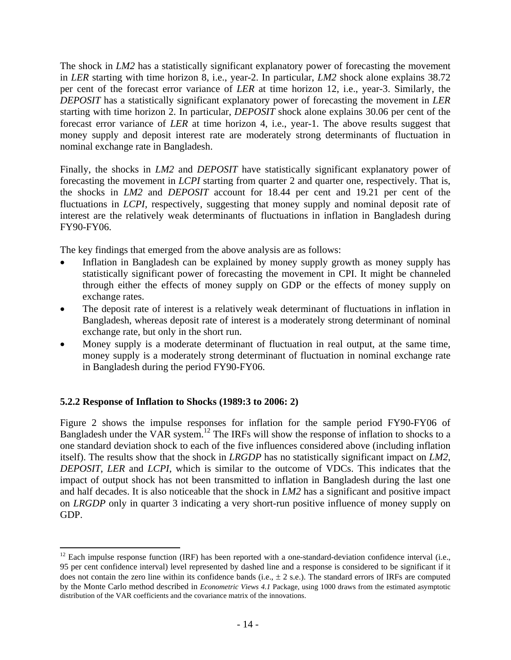The shock in *LM2* has a statistically significant explanatory power of forecasting the movement in *LER* starting with time horizon 8, i.e., year-2. In particular, *LM2* shock alone explains 38.72 per cent of the forecast error variance of *LER* at time horizon 12, i.e., year-3. Similarly, the *DEPOSIT* has a statistically significant explanatory power of forecasting the movement in *LER* starting with time horizon 2. In particular, *DEPOSIT* shock alone explains 30.06 per cent of the forecast error variance of *LER* at time horizon 4, i.e., year-1. The above results suggest that money supply and deposit interest rate are moderately strong determinants of fluctuation in nominal exchange rate in Bangladesh.

Finally, the shocks in *LM2* and *DEPOSIT* have statistically significant explanatory power of forecasting the movement in *LCPI* starting from quarter 2 and quarter one, respectively. That is, the shocks in *LM2* and *DEPOSIT* account for 18.44 per cent and 19.21 per cent of the fluctuations in *LCPI*, respectively, suggesting that money supply and nominal deposit rate of interest are the relatively weak determinants of fluctuations in inflation in Bangladesh during FY90-FY06.

The key findings that emerged from the above analysis are as follows:

- Inflation in Bangladesh can be explained by money supply growth as money supply has statistically significant power of forecasting the movement in CPI. It might be channeled through either the effects of money supply on GDP or the effects of money supply on exchange rates.
- The deposit rate of interest is a relatively weak determinant of fluctuations in inflation in Bangladesh, whereas deposit rate of interest is a moderately strong determinant of nominal exchange rate, but only in the short run.
- Money supply is a moderate determinant of fluctuation in real output, at the same time, money supply is a moderately strong determinant of fluctuation in nominal exchange rate in Bangladesh during the period FY90-FY06.

## **5.2.2 Response of Inflation to Shocks (1989:3 to 2006: 2)**

Figure 2 shows the impulse responses for inflation for the sample period FY90-FY06 of Bangladesh under the VAR system.<sup>12</sup> The IRFs will show the response of inflation to shocks to a one standard deviation shock to each of the five influences considered above (including inflation itself). The results show that the shock in *LRGDP* has no statistically significant impact on *LM2*, *DEPOSIT*, *LER* and *LCPI*, which is similar to the outcome of VDCs. This indicates that the impact of output shock has not been transmitted to inflation in Bangladesh during the last one and half decades. It is also noticeable that the shock in *LM2* has a significant and positive impact on *LRGDP* only in quarter 3 indicating a very short-run positive influence of money supply on GDP.

 $\overline{a}$  $12$  Each impulse response function (IRF) has been reported with a one-standard-deviation confidence interval (i.e., 95 per cent confidence interval) level represented by dashed line and a response is considered to be significant if it does not contain the zero line within its confidence bands (i.e.,  $\pm 2$  s.e.). The standard errors of IRFs are computed by the Monte Carlo method described in *Econometric Views 4.1* Package, using 1000 draws from the estimated asymptotic distribution of the VAR coefficients and the covariance matrix of the innovations.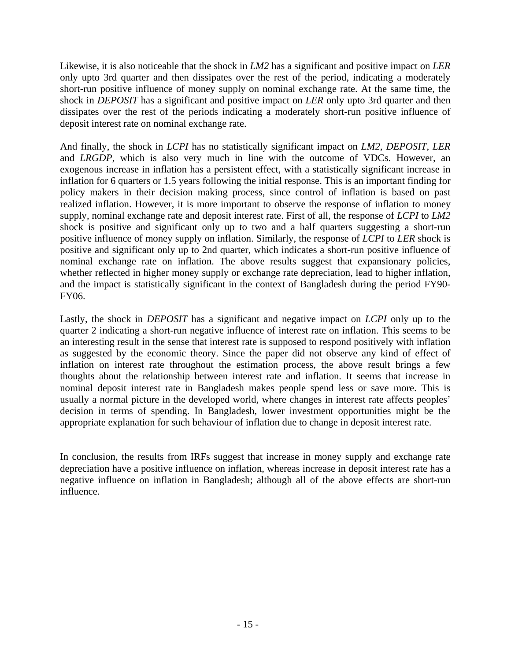Likewise, it is also noticeable that the shock in *LM2* has a significant and positive impact on *LER* only upto 3rd quarter and then dissipates over the rest of the period, indicating a moderately short-run positive influence of money supply on nominal exchange rate. At the same time, the shock in *DEPOSIT* has a significant and positive impact on *LER* only upto 3rd quarter and then dissipates over the rest of the periods indicating a moderately short-run positive influence of deposit interest rate on nominal exchange rate.

And finally, the shock in *LCPI* has no statistically significant impact on *LM2*, *DEPOSIT*, *LER* and *LRGDP*, which is also very much in line with the outcome of VDCs. However, an exogenous increase in inflation has a persistent effect, with a statistically significant increase in inflation for 6 quarters or 1.5 years following the initial response. This is an important finding for policy makers in their decision making process, since control of inflation is based on past realized inflation. However, it is more important to observe the response of inflation to money supply, nominal exchange rate and deposit interest rate. First of all, the response of *LCPI* to *LM2* shock is positive and significant only up to two and a half quarters suggesting a short-run positive influence of money supply on inflation. Similarly, the response of *LCPI* to *LER* shock is positive and significant only up to 2nd quarter, which indicates a short-run positive influence of nominal exchange rate on inflation. The above results suggest that expansionary policies, whether reflected in higher money supply or exchange rate depreciation, lead to higher inflation, and the impact is statistically significant in the context of Bangladesh during the period FY90- FY06.

Lastly, the shock in *DEPOSIT* has a significant and negative impact on *LCPI* only up to the quarter 2 indicating a short-run negative influence of interest rate on inflation. This seems to be an interesting result in the sense that interest rate is supposed to respond positively with inflation as suggested by the economic theory. Since the paper did not observe any kind of effect of inflation on interest rate throughout the estimation process, the above result brings a few thoughts about the relationship between interest rate and inflation. It seems that increase in nominal deposit interest rate in Bangladesh makes people spend less or save more. This is usually a normal picture in the developed world, where changes in interest rate affects peoples' decision in terms of spending. In Bangladesh, lower investment opportunities might be the appropriate explanation for such behaviour of inflation due to change in deposit interest rate.

In conclusion, the results from IRFs suggest that increase in money supply and exchange rate depreciation have a positive influence on inflation, whereas increase in deposit interest rate has a negative influence on inflation in Bangladesh; although all of the above effects are short-run influence.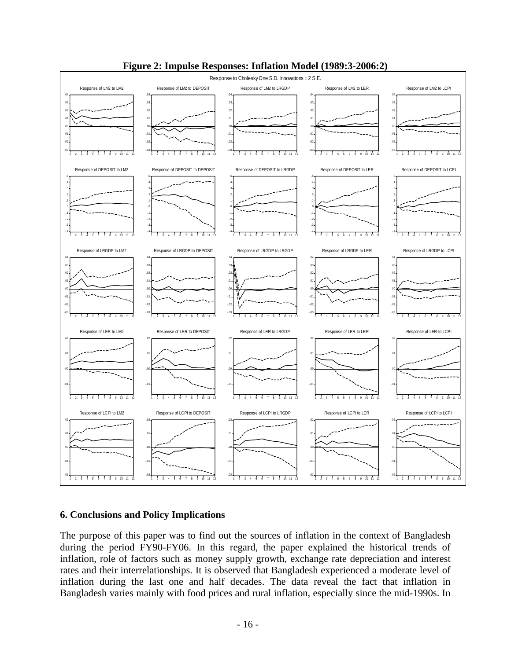

## **Figure 2: Impulse Responses: Inflation Model (1989:3-2006:2)**

#### **6. Conclusions and Policy Implications**

The purpose of this paper was to find out the sources of inflation in the context of Bangladesh during the period FY90-FY06. In this regard, the paper explained the historical trends of inflation, role of factors such as money supply growth, exchange rate depreciation and interest rates and their interrelationships. It is observed that Bangladesh experienced a moderate level of inflation during the last one and half decades. The data reveal the fact that inflation in Bangladesh varies mainly with food prices and rural inflation, especially since the mid-1990s. In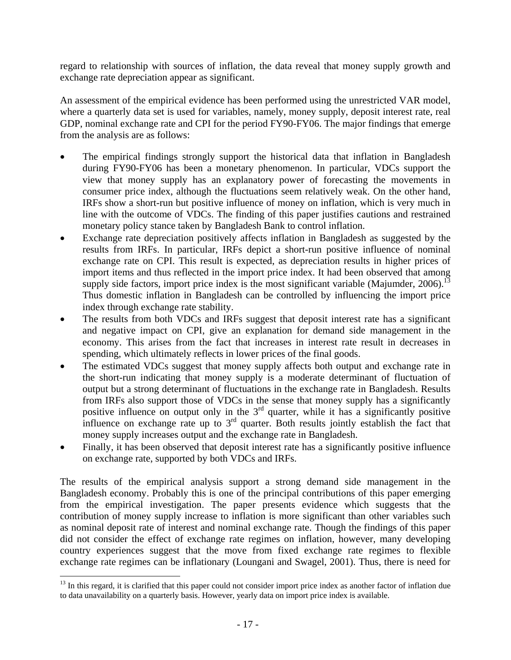regard to relationship with sources of inflation, the data reveal that money supply growth and exchange rate depreciation appear as significant.

An assessment of the empirical evidence has been performed using the unrestricted VAR model, where a quarterly data set is used for variables, namely, money supply, deposit interest rate, real GDP, nominal exchange rate and CPI for the period FY90-FY06. The major findings that emerge from the analysis are as follows:

- The empirical findings strongly support the historical data that inflation in Bangladesh during FY90-FY06 has been a monetary phenomenon. In particular, VDCs support the view that money supply has an explanatory power of forecasting the movements in consumer price index, although the fluctuations seem relatively weak. On the other hand, IRFs show a short-run but positive influence of money on inflation, which is very much in line with the outcome of VDCs. The finding of this paper justifies cautions and restrained monetary policy stance taken by Bangladesh Bank to control inflation.
- Exchange rate depreciation positively affects inflation in Bangladesh as suggested by the results from IRFs. In particular, IRFs depict a short-run positive influence of nominal exchange rate on CPI. This result is expected, as depreciation results in higher prices of import items and thus reflected in the import price index. It had been observed that among supply side factors, import price index is the most significant variable (Majumder,  $2006$ ).<sup>13</sup> Thus domestic inflation in Bangladesh can be controlled by influencing the import price index through exchange rate stability.
- The results from both VDCs and IRFs suggest that deposit interest rate has a significant and negative impact on CPI, give an explanation for demand side management in the economy. This arises from the fact that increases in interest rate result in decreases in spending, which ultimately reflects in lower prices of the final goods.
- The estimated VDCs suggest that money supply affects both output and exchange rate in the short-run indicating that money supply is a moderate determinant of fluctuation of output but a strong determinant of fluctuations in the exchange rate in Bangladesh. Results from IRFs also support those of VDCs in the sense that money supply has a significantly positive influence on output only in the  $3<sup>rd</sup>$  quarter, while it has a significantly positive influence on exchange rate up to 3<sup>rd</sup> quarter. Both results jointly establish the fact that money supply increases output and the exchange rate in Bangladesh.
- Finally, it has been observed that deposit interest rate has a significantly positive influence on exchange rate, supported by both VDCs and IRFs.

The results of the empirical analysis support a strong demand side management in the Bangladesh economy. Probably this is one of the principal contributions of this paper emerging from the empirical investigation. The paper presents evidence which suggests that the contribution of money supply increase to inflation is more significant than other variables such as nominal deposit rate of interest and nominal exchange rate. Though the findings of this paper did not consider the effect of exchange rate regimes on inflation, however, many developing country experiences suggest that the move from fixed exchange rate regimes to flexible exchange rate regimes can be inflationary (Loungani and Swagel, 2001). Thus, there is need for

 $\overline{a}$ 

<sup>&</sup>lt;sup>13</sup> In this regard, it is clarified that this paper could not consider import price index as another factor of inflation due to data unavailability on a quarterly basis. However, yearly data on import price index is available.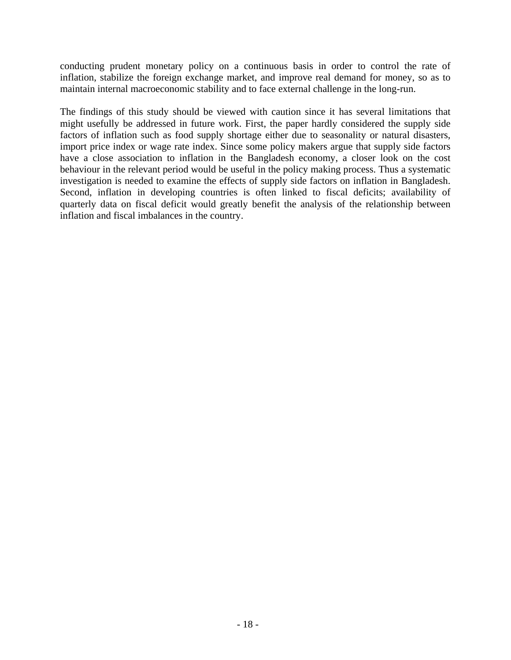conducting prudent monetary policy on a continuous basis in order to control the rate of inflation, stabilize the foreign exchange market, and improve real demand for money, so as to maintain internal macroeconomic stability and to face external challenge in the long-run.

The findings of this study should be viewed with caution since it has several limitations that might usefully be addressed in future work. First, the paper hardly considered the supply side factors of inflation such as food supply shortage either due to seasonality or natural disasters, import price index or wage rate index. Since some policy makers argue that supply side factors have a close association to inflation in the Bangladesh economy, a closer look on the cost behaviour in the relevant period would be useful in the policy making process. Thus a systematic investigation is needed to examine the effects of supply side factors on inflation in Bangladesh. Second, inflation in developing countries is often linked to fiscal deficits; availability of quarterly data on fiscal deficit would greatly benefit the analysis of the relationship between inflation and fiscal imbalances in the country.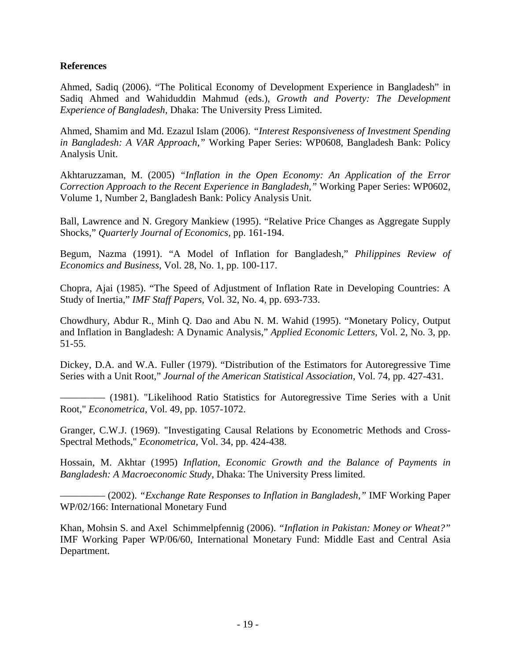#### **References**

Ahmed, Sadiq (2006). "The Political Economy of Development Experience in Bangladesh" in Sadiq Ahmed and Wahiduddin Mahmud (eds.), *Growth and Poverty: The Development Experience of Bangladesh,* Dhaka: The University Press Limited.

Ahmed, Shamim and Md. Ezazul Islam (2006). *"Interest Responsiveness of Investment Spending in Bangladesh: A VAR Approach,"* Working Paper Series: WP0608, Bangladesh Bank: Policy Analysis Unit.

Akhtaruzzaman, M. (2005) *"Inflation in the Open Economy: An Application of the Error Correction Approach to the Recent Experience in Bangladesh,"* Working Paper Series: WP0602, Volume 1, Number 2, Bangladesh Bank: Policy Analysis Unit.

Ball, Lawrence and N. Gregory Mankiew (1995). "Relative Price Changes as Aggregate Supply Shocks," *Quarterly Journal of Economics,* pp. 161-194.

Begum, Nazma (1991). "A Model of Inflation for Bangladesh," *Philippines Review of Economics and Business,* Vol. 28, No. 1, pp. 100-117.

Chopra, Ajai (1985). "The Speed of Adjustment of Inflation Rate in Developing Countries: A Study of Inertia," *IMF Staff Papers*, Vol. 32, No. 4, pp. 693-733.

Chowdhury, Abdur R., Minh Q. Dao and Abu N. M. Wahid (1995). "Monetary Policy, Output and Inflation in Bangladesh: A Dynamic Analysis," *Applied Economic Letters,* Vol. 2, No. 3, pp. 51-55.

Dickey, D.A. and W.A. Fuller (1979). "Distribution of the Estimators for Autoregressive Time Series with a Unit Root," *Journal of the American Statistical Association,* Vol. 74, pp. 427-431.

––––––––– (1981). "Likelihood Ratio Statistics for Autoregressive Time Series with a Unit Root," *Econometrica,* Vol. 49, pp. 1057-1072.

Granger, C.W.J. (1969). "Investigating Causal Relations by Econometric Methods and Cross-Spectral Methods," *Econometrica,* Vol. 34, pp. 424-438.

Hossain, M. Akhtar (1995) *Inflation, Economic Growth and the Balance of Payments in Bangladesh: A Macroeconomic Study*, Dhaka: The University Press limited.

––––––––– (2002). *"Exchange Rate Responses to Inflation in Bangladesh,"* IMF Working Paper WP/02/166: International Monetary Fund

Khan, Mohsin S. and Axel Schimmelpfennig (2006). *"Inflation in Pakistan: Money or Wheat?"* IMF Working Paper WP/06/60, International Monetary Fund: Middle East and Central Asia Department.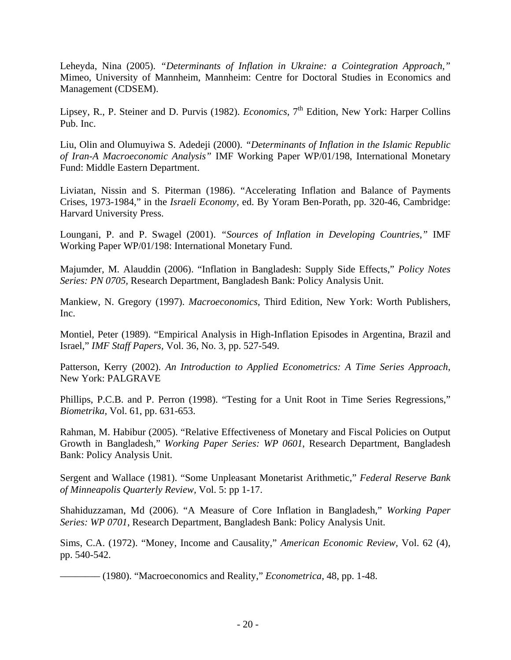Leheyda, Nina (2005). *"Determinants of Inflation in Ukraine: a Cointegration Approach,"* Mimeo, University of Mannheim, Mannheim: Centre for Doctoral Studies in Economics and Management (CDSEM).

Lipsey, R., P. Steiner and D. Purvis (1982). *Economics*, 7<sup>th</sup> Edition, New York: Harper Collins Pub. Inc.

Liu, Olin and Olumuyiwa S. Adedeji (2000). *"Determinants of Inflation in the Islamic Republic of Iran-A Macroeconomic Analysis"* IMF Working Paper WP/01/198, International Monetary Fund: Middle Eastern Department.

Liviatan, Nissin and S. Piterman (1986). "Accelerating Inflation and Balance of Payments Crises, 1973-1984," in the *Israeli Economy,* ed. By Yoram Ben-Porath, pp. 320-46, Cambridge: Harvard University Press.

Loungani, P. and P. Swagel (2001). *"Sources of Inflation in Developing Countries,"* IMF Working Paper WP/01/198: International Monetary Fund.

Majumder, M. Alauddin (2006). "Inflation in Bangladesh: Supply Side Effects," *Policy Notes Series: PN 0705,* Research Department, Bangladesh Bank: Policy Analysis Unit.

Mankiew, N. Gregory (1997). *Macroeconomics,* Third Edition, New York: Worth Publishers, Inc.

Montiel, Peter (1989). "Empirical Analysis in High-Inflation Episodes in Argentina, Brazil and Israel," *IMF Staff Papers,* Vol. 36, No. 3, pp. 527-549.

Patterson, Kerry (2002). *An Introduction to Applied Econometrics: A Time Series Approach*, New York: PALGRAVE

Phillips, P.C.B. and P. Perron (1998). "Testing for a Unit Root in Time Series Regressions," *Biometrika,* Vol. 61, pp. 631-653.

Rahman, M. Habibur (2005). "Relative Effectiveness of Monetary and Fiscal Policies on Output Growth in Bangladesh," *Working Paper Series: WP 0601*, Research Department, Bangladesh Bank: Policy Analysis Unit.

Sergent and Wallace (1981). "Some Unpleasant Monetarist Arithmetic," *Federal Reserve Bank of Minneapolis Quarterly Review,* Vol. 5: pp 1-17.

Shahiduzzaman, Md (2006). "A Measure of Core Inflation in Bangladesh," *Working Paper Series: WP 0701*, Research Department, Bangladesh Bank: Policy Analysis Unit.

Sims, C.A. (1972). "Money, Income and Causality," *American Economic Review,* Vol. 62 (4), pp. 540-542.

–––––––– (1980). "Macroeconomics and Reality," *Econometrica,* 48, pp. 1-48.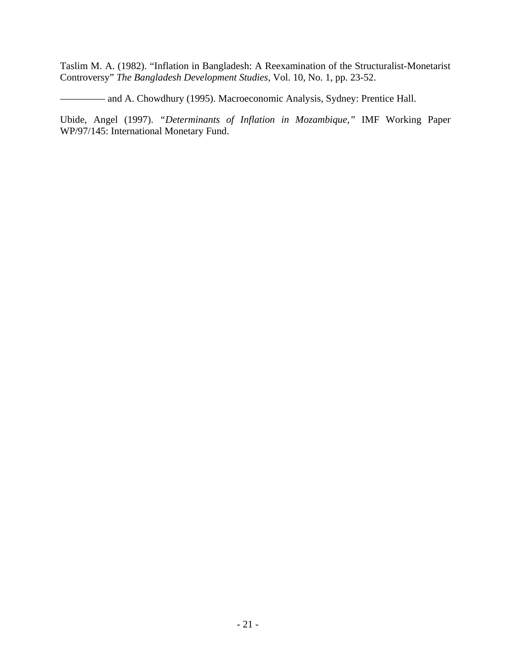Taslim M. A. (1982). "Inflation in Bangladesh: A Reexamination of the Structuralist-Monetarist Controversy" *The Bangladesh Development Studies,* Vol. 10, No. 1, pp. 23-52.

––––––––– and A. Chowdhury (1995). Macroeconomic Analysis, Sydney: Prentice Hall.

Ubide, Angel (1997). *"Determinants of Inflation in Mozambique,"* IMF Working Paper WP/97/145: International Monetary Fund.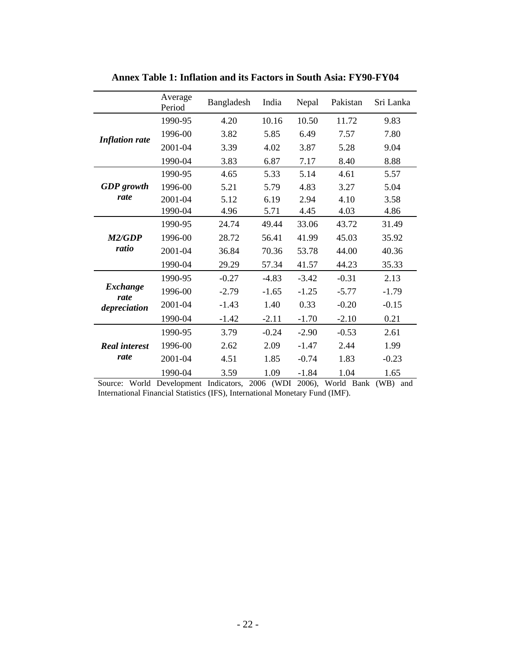|                         | Average<br>Period | Bangladesh | India   | Nepal   | Pakistan | Sri Lanka |
|-------------------------|-------------------|------------|---------|---------|----------|-----------|
|                         | 1990-95           | 4.20       | 10.16   | 10.50   | 11.72    | 9.83      |
| <b>Inflation rate</b>   | 1996-00           | 3.82       | 5.85    | 6.49    | 7.57     | 7.80      |
|                         | 2001-04           | 3.39       | 4.02    | 3.87    | 5.28     | 9.04      |
|                         | 1990-04           | 3.83       | 6.87    | 7.17    | 8.40     | 8.88      |
|                         | 1990-95           | 4.65       | 5.33    | 5.14    | 4.61     | 5.57      |
| <b>GDP</b> growth       | 1996-00           | 5.21       | 5.79    | 4.83    | 3.27     | 5.04      |
| rate                    | 2001-04           | 5.12       | 6.19    | 2.94    | 4.10     | 3.58      |
|                         | 1990-04           | 4.96       | 5.71    | 4.45    | 4.03     | 4.86      |
|                         | 1990-95           | 24.74      | 49.44   | 33.06   | 43.72    | 31.49     |
| M2/GDP                  | 1996-00           | 28.72      | 56.41   | 41.99   | 45.03    | 35.92     |
| ratio                   | 2001-04           | 36.84      | 70.36   | 53.78   | 44.00    | 40.36     |
|                         | 1990-04           | 29.29      | 57.34   | 41.57   | 44.23    | 35.33     |
|                         | 1990-95           | $-0.27$    | $-4.83$ | $-3.42$ | $-0.31$  | 2.13      |
| <b>Exchange</b><br>rate | 1996-00           | $-2.79$    | $-1.65$ | $-1.25$ | $-5.77$  | $-1.79$   |
| depreciation            | 2001-04           | $-1.43$    | 1.40    | 0.33    | $-0.20$  | $-0.15$   |
|                         | 1990-04           | $-1.42$    | $-2.11$ | $-1.70$ | $-2.10$  | 0.21      |
|                         | 1990-95           | 3.79       | $-0.24$ | $-2.90$ | $-0.53$  | 2.61      |
| <b>Real interest</b>    | 1996-00           | 2.62       | 2.09    | $-1.47$ | 2.44     | 1.99      |
| rate                    | 2001-04           | 4.51       | 1.85    | $-0.74$ | 1.83     | $-0.23$   |
|                         | 1990-04           | 3.59       | 1.09    | $-1.84$ | 1.04     | 1.65      |

**Annex Table 1: Inflation and its Factors in South Asia: FY90-FY04** 

Source: World Development Indicators, 2006 (WDI 2006), World Bank (WB) and International Financial Statistics (IFS), International Monetary Fund (IMF).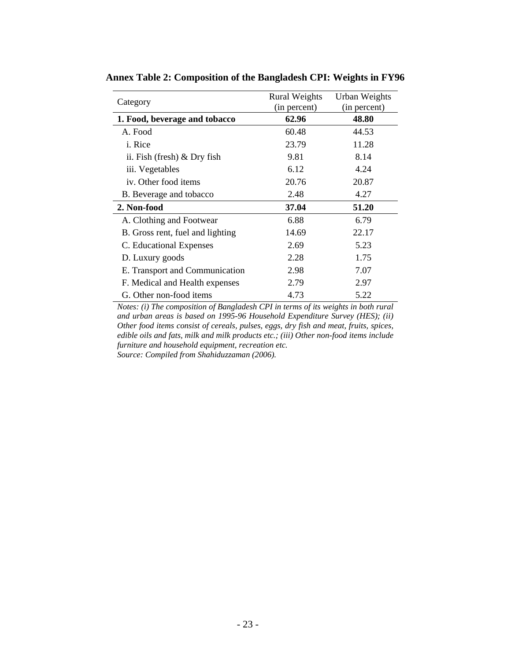| Category                         | <b>Rural Weights</b><br>(in percent) | Urban Weights<br>(in percent) |
|----------------------------------|--------------------------------------|-------------------------------|
| 1. Food, beverage and tobacco    | 62.96                                | 48.80                         |
| A. Food                          | 60.48                                | 44.53                         |
| <i>i</i> . Rice                  | 23.79                                | 11.28                         |
| ii. Fish (fresh) $&$ Dry fish    | 9.81                                 | 8.14                          |
| iii. Vegetables                  | 6.12                                 | 4.24                          |
| iv. Other food items             | 20.76                                | 20.87                         |
| B. Beverage and tobacco          | 2.48                                 | 4.27                          |
| 2. Non-food                      | 37.04                                | 51.20                         |
| A. Clothing and Footwear         | 6.88                                 | 6.79                          |
| B. Gross rent, fuel and lighting | 14.69                                | 22.17                         |
| C. Educational Expenses          | 2.69                                 | 5.23                          |
| D. Luxury goods                  | 2.28                                 | 1.75                          |
| E. Transport and Communication   | 2.98                                 | 7.07                          |
| F. Medical and Health expenses   | 2.79                                 | 2.97                          |
| G. Other non-food items          | 4.73                                 | 5.22                          |

**Annex Table 2: Composition of the Bangladesh CPI: Weights in FY96** 

*Notes: (i) The composition of Bangladesh CPI in terms of its weights in both rural and urban areas is based on 1995-96 Household Expenditure Survey (HES); (ii) Other food items consist of cereals, pulses, eggs, dry fish and meat, fruits, spices, edible oils and fats, milk and milk products etc.; (iii) Other non-food items include furniture and household equipment, recreation etc.* 

*Source: Compiled from Shahiduzzaman (2006).*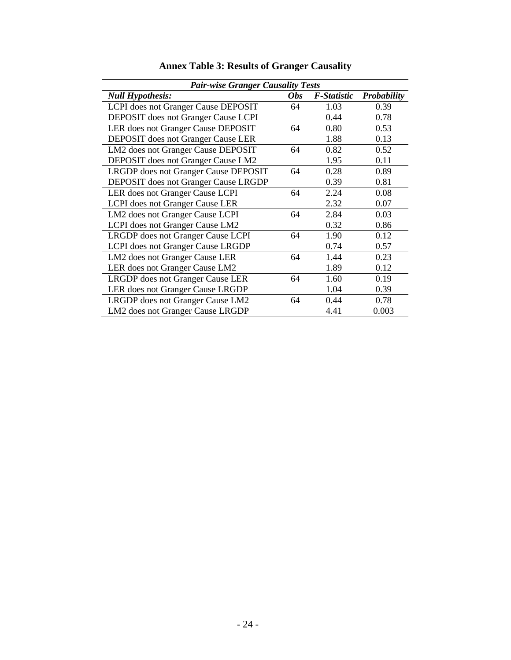| <b>Pair-wise Granger Causality Tests</b>    |            |             |                    |  |  |  |  |  |
|---------------------------------------------|------------|-------------|--------------------|--|--|--|--|--|
| <b>Null Hypothesis:</b>                     | <b>Obs</b> | F-Statistic | <b>Probability</b> |  |  |  |  |  |
| LCPI does not Granger Cause DEPOSIT         | 64         | 1.03        | 0.39               |  |  |  |  |  |
| <b>DEPOSIT</b> does not Granger Cause LCPI  |            | 0.44        | 0.78               |  |  |  |  |  |
| LER does not Granger Cause DEPOSIT          | 64         | 0.80        | 0.53               |  |  |  |  |  |
| <b>DEPOSIT</b> does not Granger Cause LER   |            | 1.88        | 0.13               |  |  |  |  |  |
| LM2 does not Granger Cause DEPOSIT          | 64         | 0.82        | 0.52               |  |  |  |  |  |
| DEPOSIT does not Granger Cause LM2          |            | 1.95        | 0.11               |  |  |  |  |  |
| LRGDP does not Granger Cause DEPOSIT        | 64         | 0.28        | 0.89               |  |  |  |  |  |
| <b>DEPOSIT</b> does not Granger Cause LRGDP |            | 0.39        | 0.81               |  |  |  |  |  |
| LER does not Granger Cause LCPI             | 64         | 2.24        | 0.08               |  |  |  |  |  |
| LCPI does not Granger Cause LER             |            | 2.32        | 0.07               |  |  |  |  |  |
| LM2 does not Granger Cause LCPI             | 64         | 2.84        | 0.03               |  |  |  |  |  |
| LCPI does not Granger Cause LM2             |            | 0.32        | 0.86               |  |  |  |  |  |
| LRGDP does not Granger Cause LCPI           | 64         | 1.90        | 0.12               |  |  |  |  |  |
| LCPI does not Granger Cause LRGDP           |            | 0.74        | 0.57               |  |  |  |  |  |
| LM2 does not Granger Cause LER              | 64         | 1.44        | 0.23               |  |  |  |  |  |
| LER does not Granger Cause LM2              |            | 1.89        | 0.12               |  |  |  |  |  |
| LRGDP does not Granger Cause LER            | 64         | 1.60        | 0.19               |  |  |  |  |  |
| LER does not Granger Cause LRGDP            |            | 1.04        | 0.39               |  |  |  |  |  |
| LRGDP does not Granger Cause LM2            | 64         | 0.44        | 0.78               |  |  |  |  |  |
| LM2 does not Granger Cause LRGDP            |            | 4.41        | 0.003              |  |  |  |  |  |

# **Annex Table 3: Results of Granger Causality**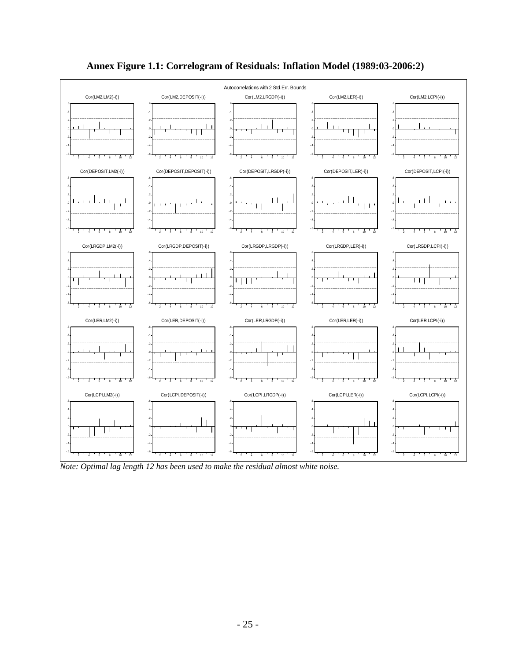

# **Annex Figure 1.1: Correlogram of Residuals: Inflation Model (1989:03-2006:2)**

*Note: Optimal lag length 12 has been used to make the residual almost white noise.*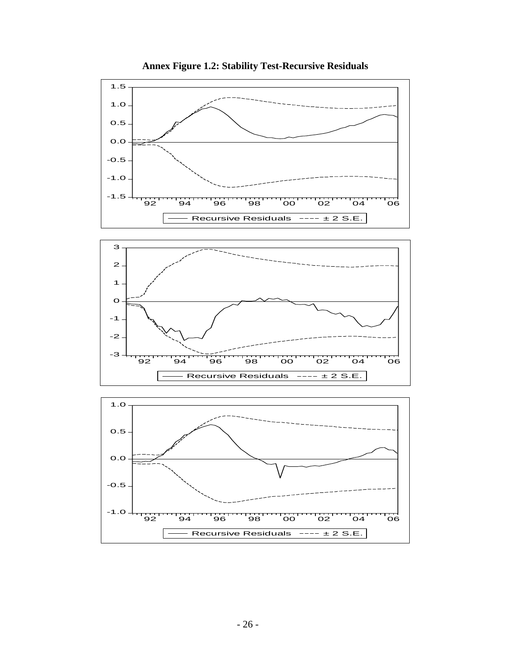

**Annex Figure 1.2: Stability Test-Recursive Residuals**